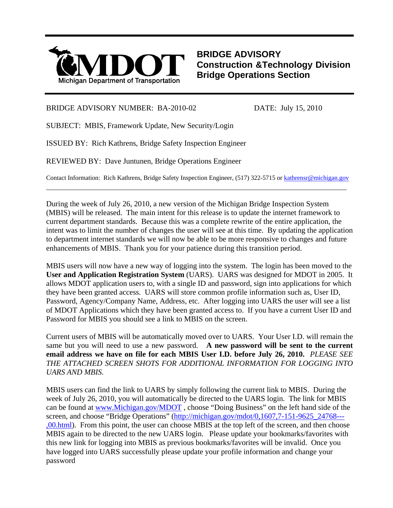

**BRIDGE ADVISORY Construction &Technology Division Bridge Operations Section**

## BRIDGE ADVISORY NUMBER: BA-2010-02 DATE: July 15, 2010

l

SUBJECT: MBIS, Framework Update, New Security/Login

ISSUED BY: Rich Kathrens, Bridge Safety Inspection Engineer

REVIEWED BY: Dave Juntunen, Bridge Operations Engineer

Contact Information: Rich Kathrens, Bridge Safety Inspection Engineer, (517) 322-5715 or [kathrensr@michigan.gov](mailto:kathrensr@michigan.gov) 

During the week of July 26, 2010, a new version of the Michigan Bridge Inspection System (MBIS) will be released. The main intent for this release is to update the internet framework to current department standards. Because this was a complete rewrite of the entire application, the intent was to limit the number of changes the user will see at this time. By updating the application to department internet standards we will now be able to be more responsive to changes and future enhancements of MBIS. Thank you for your patience during this transition period.

MBIS users will now have a new way of logging into the system. The login has been moved to the **User and Application Registration System** (UARS). UARS was designed for MDOT in 2005. It allows MDOT application users to, with a single ID and password, sign into applications for which they have been granted access. UARS will store common profile information such as, User ID, Password, Agency/Company Name, Address, etc. After logging into UARS the user will see a list of MDOT Applications which they have been granted access to. If you have a current User ID and Password for MBIS you should see a link to MBIS on the screen.

Current users of MBIS will be automatically moved over to UARS. Your User I.D. will remain the same but you will need to use a new password. **A new password will be sent to the current email address we have on file for each MBIS User I.D. before July 26, 2010.** *PLEASE SEE THE ATTACHED SCREEN SHOTS FOR ADDITIONAL INFORMATION FOR LOGGING INTO UARS AND MBIS.* 

MBIS users can find the link to UARS by simply following the current link to MBIS. During the week of July 26, 2010, you will automatically be directed to the UARS login. The link for MBIS can be found at [www.Michigan.gov/MDOT](http://www.michigan.gov/MDOT) , choose "Doing Business" on the left hand side of the screen, and choose "Bridge Operations" [\(http://michigan.gov/mdot/0,1607,7-151-9625\\_24768---](http://michigan.gov/mdot/0,1607,7-151-9625_24768---,00.html) [,00.html\)](http://michigan.gov/mdot/0,1607,7-151-9625_24768---,00.html). From this point, the user can choose MBIS at the top left of the screen, and then choose MBIS again to be directed to the new UARS login. Please update your bookmarks/favorites with this new link for logging into MBIS as previous bookmarks/favorites will be invalid. Once you have logged into UARS successfully please update your profile information and change your password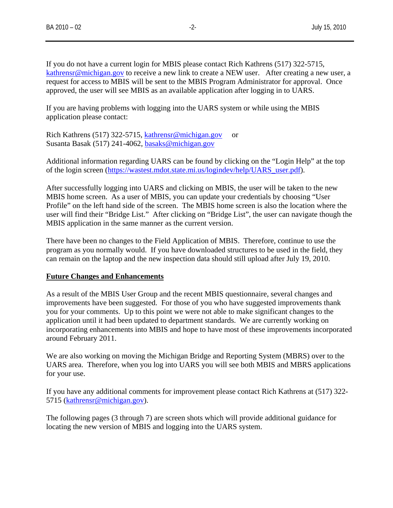If you do not have a current login for MBIS please contact Rich Kathrens (517) 322-5715, [kathrensr@michigan.gov](mailto:kathrensr@michigan.gov) to receive a new link to create a NEW user. After creating a new user, a request for access to MBIS will be sent to the MBIS Program Administrator for approval. Once approved, the user will see MBIS as an available application after logging in to UARS.

If you are having problems with logging into the UARS system or while using the MBIS application please contact:

Rich Kathrens (517) 322-5715, [kathrensr@michigan.gov](mailto:kathrensr@michigan.gov) or Susanta Basak (517) 241-4062, [basaks@michigan.gov](mailto:basaks@michigan.gov)

Additional information regarding UARS can be found by clicking on the "Login Help" at the top of the login screen ([https://wastest.mdot.state.mi.us/logindev/help/UARS\\_user.pdf](https://wastest.mdot.state.mi.us/logindev/help/UARS_user.pdf)).

After successfully logging into UARS and clicking on MBIS, the user will be taken to the new MBIS home screen. As a user of MBIS, you can update your credentials by choosing "User Profile" on the left hand side of the screen. The MBIS home screen is also the location where the user will find their "Bridge List." After clicking on "Bridge List", the user can navigate though the MBIS application in the same manner as the current version.

There have been no changes to the Field Application of MBIS. Therefore, continue to use the program as you normally would. If you have downloaded structures to be used in the field, they can remain on the laptop and the new inspection data should still upload after July 19, 2010.

### **Future Changes and Enhancements**

As a result of the MBIS User Group and the recent MBIS questionnaire, several changes and improvements have been suggested. For those of you who have suggested improvements thank you for your comments. Up to this point we were not able to make significant changes to the application until it had been updated to department standards. We are currently working on incorporating enhancements into MBIS and hope to have most of these improvements incorporated around February 2011.

We are also working on moving the Michigan Bridge and Reporting System (MBRS) over to the UARS area. Therefore, when you log into UARS you will see both MBIS and MBRS applications for your use.

If you have any additional comments for improvement please contact Rich Kathrens at (517) 322- 5715 ([kathrensr@michigan.gov](mailto:kathrensr@michigan.gov)).

The following pages (3 through 7) are screen shots which will provide additional guidance for locating the new version of MBIS and logging into the UARS system.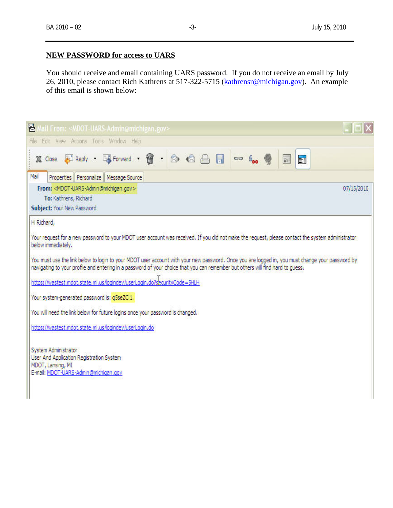## **NEW PASSWORD for access to UARS**

You should receive and email containing UARS password. If you do not receive an email by July 26, 2010, please contact Rich Kathrens at 517-322-5715 [\(kathrensr@michigan.gov\)](mailto:kathrensr@michigan.gov). An example of this email is shown below:

| Mail From: <mdot-uars-admin@michigan.gov></mdot-uars-admin@michigan.gov>                                                                                                                                                                                                                                                                 |  |  |  |  |
|------------------------------------------------------------------------------------------------------------------------------------------------------------------------------------------------------------------------------------------------------------------------------------------------------------------------------------------|--|--|--|--|
| Edit View Actions Tools Window Help<br>File                                                                                                                                                                                                                                                                                              |  |  |  |  |
| <b>X</b> Close G Reply · G Forward · 曾 · 2 · 2 · 图 日<br>$00 \text{ kg}$<br>Ħ<br>師                                                                                                                                                                                                                                                        |  |  |  |  |
| Mail<br>Properties Personalize Message Source                                                                                                                                                                                                                                                                                            |  |  |  |  |
| From: <mdot-uars-admin@michigan.gov><br/>07/15/2010</mdot-uars-admin@michigan.gov>                                                                                                                                                                                                                                                       |  |  |  |  |
| To: Kathrens, Richard                                                                                                                                                                                                                                                                                                                    |  |  |  |  |
| <b>Subject: Your New Password</b>                                                                                                                                                                                                                                                                                                        |  |  |  |  |
| Hi Richard,<br>Your request for a new password to your MDOT user account was received. If you did not make the request, please contact the system administrator<br>below immediately.<br>You must use the link below to login to your MDOT user account with your new password. Once you are logged in, you must change your password by |  |  |  |  |
| navigating to your profile and entering in a password of your choice that you can remember but others will find hard to guess.<br>https://wastest.mdot.state.mi.us/logindev/userLogin.do?securityCode=5HLH                                                                                                                               |  |  |  |  |
| Your system-generated password is: q5seZCl1.                                                                                                                                                                                                                                                                                             |  |  |  |  |
| You will need the link below for future logins once your password is changed.                                                                                                                                                                                                                                                            |  |  |  |  |
| https://wastest.mdot.state.mi.us/logindev/userLogin.do                                                                                                                                                                                                                                                                                   |  |  |  |  |
| System Administrator<br>User And Application Registration System<br>MDOT, Lansing, MI<br>E-mail: MDOT-UARS-Admin@michigan.gov                                                                                                                                                                                                            |  |  |  |  |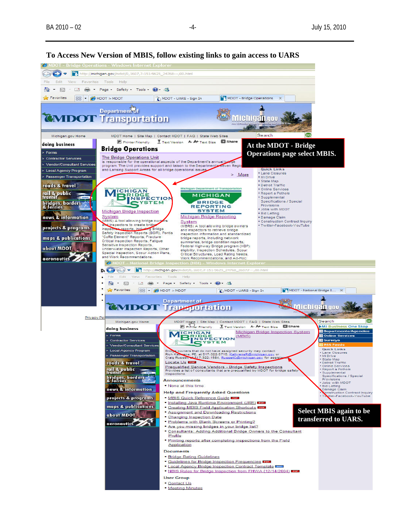

**To Access New Version of MBIS, follow existing links to gain access to UARS**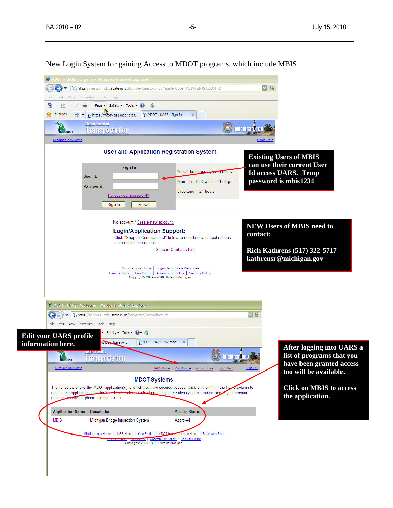6 MDOT - UARS - Sign In - Windows Internet Explorer https://wastest.mdot.state.mi.us/logindev/userLogin.do?registerCode=MU1NQjJNTSAzSU1TTQ  $\sqrt{2}$ File Edit View Favorites Tools Help ☆ • 同 - □ 扁 - Page - Safety - Tools - @ - 名 Department of **Michigangov**  $\mathbb{C}_{\text{short}}$ Transportation Michigan.gov Home **User and Application Registration System Existing Users of MBIS can use their current User**  Sign In MDOT business syst **THOUTS Id access UARS. Temp**  User ID: Mon - Fri: 6:00 a.m. - 11:30 p.m. **password is mbis1234**  Password: Weekend: 24 hours Forgot your password? Sign In | Reset No account? Create new account. **NEW Users of MBIS need to Login/Application Support: contact:**  Click "Support Contacts List" below to see the list of applications and contact information. Support Contacts List **Rich Kathrens (517) 322-5717 kathrensr@michigan.gov** Michigan.gov Home | Login Help State Web Sites<br>Privacy Policy | Link Policy | Accessibility Policy | Security Policy<br>Copyright® 2004 - 2008 State of Michigan C MDOT - UARS - Welcome - Windows Internet Explorer  $\sqrt{2}$ File Edit View Favorites Tools Help Safety - Tools - 2 **Edit your UARS profile Bridge Operations** MDOT - UARS - Welcome X **information here. After logging into UARS a**  Transportation **Michigangov list of programs that you**  CADOT **have been granted access**  Michigan.gov Home UARS Home | Your Profile | MDOT Home | Login He **too will be available. MDOT Systems** The list below shows the MDOT application(s) to which you have secured access. Click on the link in the Name column to **Click on MBIS to access**  access the application. Use the Y these to change any of the identifying information tied to your account **the application.**  (such as password, phone number, etc...). **Application Name Description Access Status MBIS** Michigan Bridge Inspection System Approved Michigan.gov Home | UARS Home | Your Profile | MDOT H Login Help | State Web Sites Letter Telley | Accessibility Policy | Security Policy<br>Copyright® 2004 - 2008 State of Michigan

New Login System for gaining Access to MDOT programs, which include MBIS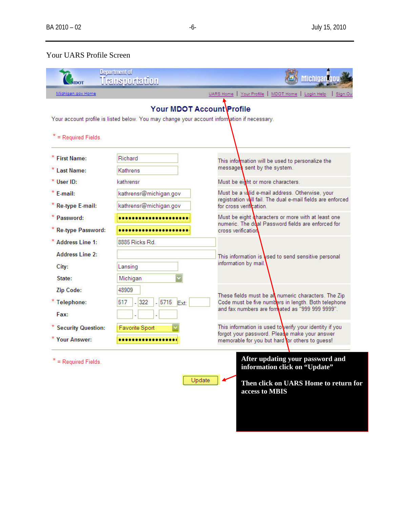# Your UARS Profile Screen

|                        | Department of<br>Uransportation                                                                                          | <b>Michigan</b>                                                                                                                           |
|------------------------|--------------------------------------------------------------------------------------------------------------------------|-------------------------------------------------------------------------------------------------------------------------------------------|
| Michigan.gov Home      |                                                                                                                          | UARS Home   Your Profile   MDOT Home   Login Help<br>Sign Ou                                                                              |
| = Required Fields.     | Your MDOT Account\Profile<br>Your account profile is listed below. You may change your account information if necessary. |                                                                                                                                           |
| * First Name:          | Richard                                                                                                                  | This information will be used to personalize the                                                                                          |
| * Last Name:           | Kathrens                                                                                                                 | messages sent by the system.                                                                                                              |
| * User ID:             | kathrensr                                                                                                                | Must be eight or more characters.                                                                                                         |
| $*$ E-mail:            | kathrensr@michigan.gov                                                                                                   | Must be a valid e-mail address. Otherwise, your<br>registration will fail. The dual e-mail fields are enforced<br>for cross verification. |
| <b>Re-type E-mail:</b> | kathrensr@michigan.gov                                                                                                   |                                                                                                                                           |
| * Password:            |                                                                                                                          | Must be eight characters or more with at least one<br>numeric. The dual Password fields are enforced for<br>cross verification            |
| * Re-type Password:    |                                                                                                                          |                                                                                                                                           |
| * Address Line 1:      | 8885 Ricks Rd                                                                                                            | This information is used to send sensitive personal<br>information by mail.                                                               |
| <b>Address Line 2:</b> |                                                                                                                          |                                                                                                                                           |
| City:                  | Lansing                                                                                                                  |                                                                                                                                           |
| State:                 | Michigan                                                                                                                 |                                                                                                                                           |
| <b>Zip Code:</b>       | 48909                                                                                                                    |                                                                                                                                           |
| * Telephone:           | 5715<br>322<br>517<br>Ext:                                                                                               | These fields must be all numeric characters. The Zip<br>Code must be five numbers in length. Both telephone                               |
| Fax:                   |                                                                                                                          | and fax numbers are formated as "999 999 9999".                                                                                           |
| * Security Question:   | Favorite Sport                                                                                                           | This information is used to verify your identity if you                                                                                   |
| * Your Answer:         |                                                                                                                          | forgot your password. Please make your answer<br>memorable for you but hard for others to guess!                                          |
| = Required Fields.     |                                                                                                                          | After updating your password and<br>information click on "Update"                                                                         |
|                        | Update                                                                                                                   | Then click on UARS Home to return for<br>access to MBIS                                                                                   |